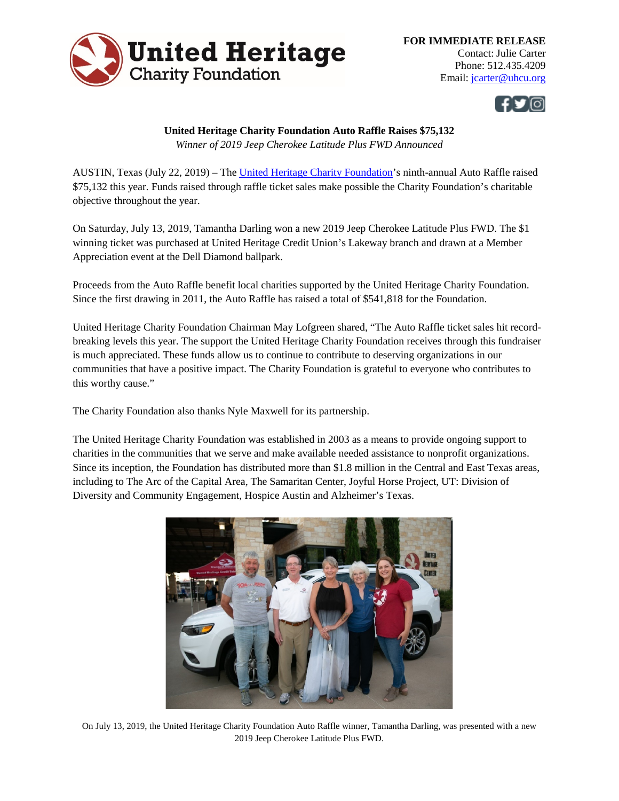



## **United Heritage Charity Foundation Auto Raffle Raises \$75,132**

*Winner of 2019 Jeep Cherokee Latitude Plus FWD Announced*

AUSTIN, Texas (July 22, 2019) – The [United Heritage Charity Foundation'](http://www.uhcf.org/Home)s ninth-annual Auto Raffle raised \$75,132 this year. Funds raised through raffle ticket sales make possible the Charity Foundation's charitable objective throughout the year.

On Saturday, July 13, 2019, Tamantha Darling won a new 2019 Jeep Cherokee Latitude Plus FWD. The \$1 winning ticket was purchased at United Heritage Credit Union's Lakeway branch and drawn at a Member Appreciation event at the Dell Diamond ballpark.

Proceeds from the Auto Raffle benefit local charities supported by the United Heritage Charity Foundation. Since the first drawing in 2011, the Auto Raffle has raised a total of \$541,818 for the Foundation.

United Heritage Charity Foundation Chairman May Lofgreen shared, "The Auto Raffle ticket sales hit recordbreaking levels this year. The support the United Heritage Charity Foundation receives through this fundraiser is much appreciated. These funds allow us to continue to contribute to deserving organizations in our communities that have a positive impact. The Charity Foundation is grateful to everyone who contributes to this worthy cause."

The Charity Foundation also thanks Nyle Maxwell for its partnership.

The United Heritage Charity Foundation was established in 2003 as a means to provide ongoing support to charities in the communities that we serve and make available needed assistance to nonprofit organizations. Since its inception, the Foundation has distributed more than \$1.8 million in the Central and East Texas areas, including to The Arc of the Capital Area, The Samaritan Center, Joyful Horse Project, UT: Division of Diversity and Community Engagement, Hospice Austin and Alzheimer's Texas.



On July 13, 2019, the United Heritage Charity Foundation Auto Raffle winner, Tamantha Darling, was presented with a new 2019 Jeep Cherokee Latitude Plus FWD.